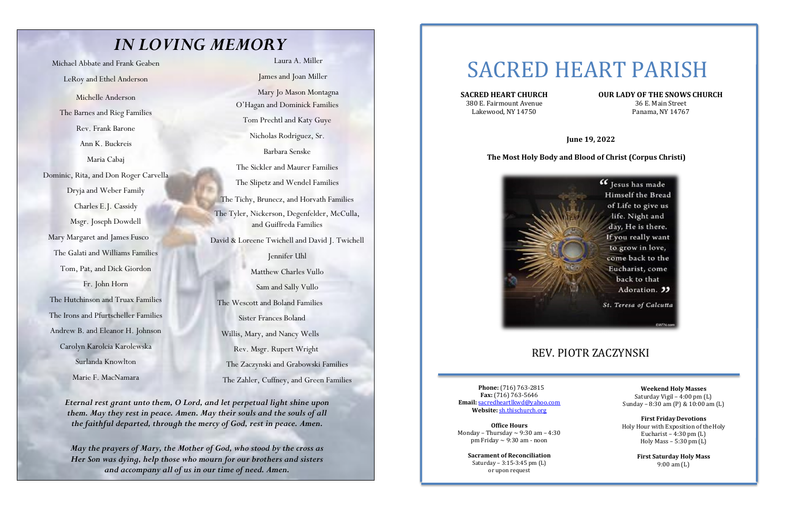## *IN LOVING MEMORY*

Michael Abbate and Frank Geaben

LeRoy and Ethel Anderson

Michelle Anderson The Barnes and Rieg Families Rev. Frank Barone Ann K. Buckreis Maria Cabaj Dominic, Rita, and Don Roger Carvella Dryja and Weber Family Charles E.J. Cassidy Msgr. Joseph Dowdell Mary Margaret and James Fusco The Galati and Williams Families Tom, Pat, and Dick Giordon Fr. John Horn The Hutchinson and Truax Families The Irons and Pfurtscheller Families Andrew B. and Eleanor H. Johnson Carolyn Karolcia Karolewska Surlanda Knowlton

Marie F. MacNamara

Laura A. Miller

James and Joan Miller

Mary Jo Mason Montagna O'Hagan and Dominick Families

Tom Prechtl and Katy Guye

Nicholas Rodriguez, Sr.

Barbara Senske

The Sickler and Maurer Families

The Slipetz and Wendel Families

380 E. Fairmount Avenue 36 E. Main Street Lakewood, NY 14750 Panama, NY 14767

The Tichy, Brunecz, and Horvath Families The Tyler, Nickerson, Degenfelder, McCulla, and Guiffreda Families

David & Loreene Twichell and David J. Twichell

**Office Hours** Monday – Thursday  $\sim$  9:30 am – 4:30 pm Friday  $\sim$  9:30 am - noon

Jennifer Uhl Matthew Charles Vullo Sam and Sally Vullo The Wescott and Boland Families Sister Frances Boland Willis, Mary, and Nancy Wells Rev. Msgr. Rupert Wright The Zaczynski and Grabowski Families The Zahler, Cuffney, and Green Families

*Eternal rest grant unto them, O Lord, and let perpetual light shine upon them. May they rest in peace. Amen. May their souls and the souls of all the faithful departed, through the mercy of God, rest in peace. Amen.*

*May the prayers of Mary, the Mother of God, who stood by the cross as Her Son was dying, help those who mourn for our brothers and sisters and accompany all of us in our time of need. Amen.*

# SACRED HEART PARISH

## **SACRED HEART CHURCH OUR LADY OF THE SNOWS CHURCH**

 **June 19, 2022**

### **The Most Holy Body and Blood of Christ (Corpus Christi)**



## REV. PIOTR ZACZYNSKI

**Phone:** (716) 763-2815 **Fax:** (716) 763-5646 **Email:** sacredheartlkwd@yahoo.com **Website:** sh.thischurch.org

**Sacrament of Reconciliation** Saturday – 3:15-3:45 pm (L) or upon request

**Weekend Holy Masses** Saturday Vigil – 4:00 pm (L) Sunday – 8:30 am (P) & 10:00 am (L)

**First Friday Devotions** Holy Hour with Exposition of the Holy Eucharist –  $4:30 \text{ pm (L)}$ Holy Mass – 5:30 pm (L)

> **First Saturday Holy Mass** 9:00 am (L)